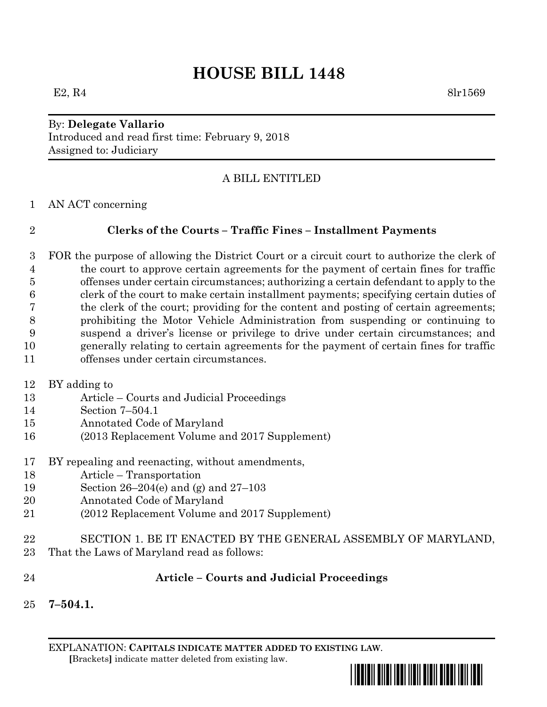# **HOUSE BILL 1448**

#### By: **Delegate Vallario** Introduced and read first time: February 9, 2018 Assigned to: Judiciary

## A BILL ENTITLED

AN ACT concerning

## **Clerks of the Courts – Traffic Fines – Installment Payments**

 FOR the purpose of allowing the District Court or a circuit court to authorize the clerk of the court to approve certain agreements for the payment of certain fines for traffic offenses under certain circumstances; authorizing a certain defendant to apply to the clerk of the court to make certain installment payments; specifying certain duties of the clerk of the court; providing for the content and posting of certain agreements; prohibiting the Motor Vehicle Administration from suspending or continuing to suspend a driver's license or privilege to drive under certain circumstances; and generally relating to certain agreements for the payment of certain fines for traffic offenses under certain circumstances.

- BY adding to
- Article Courts and Judicial Proceedings
- Section 7–504.1
- Annotated Code of Maryland
- (2013 Replacement Volume and 2017 Supplement)
- BY repealing and reenacting, without amendments,
- Article Transportation
- Section 26–204(e) and (g) and 27–103
- Annotated Code of Maryland
- (2012 Replacement Volume and 2017 Supplement)
- SECTION 1. BE IT ENACTED BY THE GENERAL ASSEMBLY OF MARYLAND, That the Laws of Maryland read as follows:
- **Article – Courts and Judicial Proceedings**
- **7–504.1.**

EXPLANATION: **CAPITALS INDICATE MATTER ADDED TO EXISTING LAW**.  **[**Brackets**]** indicate matter deleted from existing law.

\*hb1448\*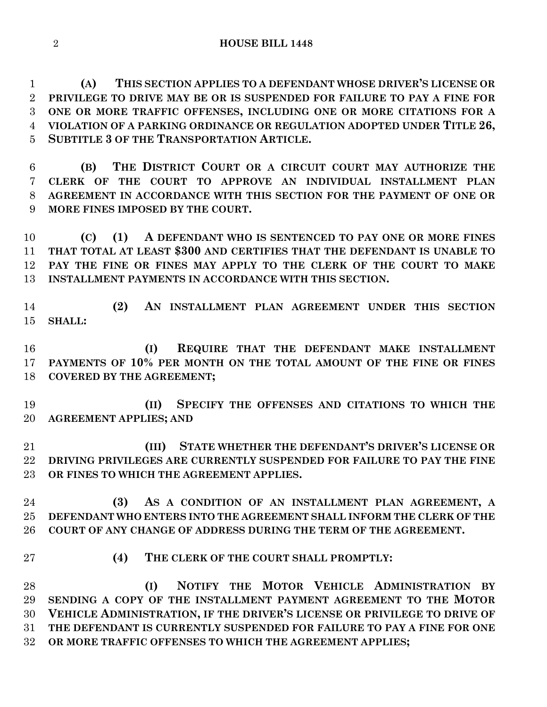**(A) THIS SECTION APPLIES TO A DEFENDANT WHOSE DRIVER'S LICENSE OR PRIVILEGE TO DRIVE MAY BE OR IS SUSPENDED FOR FAILURE TO PAY A FINE FOR ONE OR MORE TRAFFIC OFFENSES, INCLUDING ONE OR MORE CITATIONS FOR A VIOLATION OF A PARKING ORDINANCE OR REGULATION ADOPTED UNDER TITLE 26, SUBTITLE 3 OF THE TRANSPORTATION ARTICLE.**

 **(B) THE DISTRICT COURT OR A CIRCUIT COURT MAY AUTHORIZE THE CLERK OF THE COURT TO APPROVE AN INDIVIDUAL INSTALLMENT PLAN AGREEMENT IN ACCORDANCE WITH THIS SECTION FOR THE PAYMENT OF ONE OR MORE FINES IMPOSED BY THE COURT.**

 **(C) (1) A DEFENDANT WHO IS SENTENCED TO PAY ONE OR MORE FINES THAT TOTAL AT LEAST \$300 AND CERTIFIES THAT THE DEFENDANT IS UNABLE TO PAY THE FINE OR FINES MAY APPLY TO THE CLERK OF THE COURT TO MAKE INSTALLMENT PAYMENTS IN ACCORDANCE WITH THIS SECTION.**

 **(2) AN INSTALLMENT PLAN AGREEMENT UNDER THIS SECTION SHALL:**

 **(I) REQUIRE THAT THE DEFENDANT MAKE INSTALLMENT PAYMENTS OF 10% PER MONTH ON THE TOTAL AMOUNT OF THE FINE OR FINES COVERED BY THE AGREEMENT;**

 **(II) SPECIFY THE OFFENSES AND CITATIONS TO WHICH THE AGREEMENT APPLIES; AND** 

 **(III) STATE WHETHER THE DEFENDANT'S DRIVER'S LICENSE OR DRIVING PRIVILEGES ARE CURRENTLY SUSPENDED FOR FAILURE TO PAY THE FINE OR FINES TO WHICH THE AGREEMENT APPLIES.**

 **(3) AS A CONDITION OF AN INSTALLMENT PLAN AGREEMENT, A DEFENDANT WHO ENTERS INTO THE AGREEMENT SHALL INFORM THE CLERK OF THE COURT OF ANY CHANGE OF ADDRESS DURING THE TERM OF THE AGREEMENT.**

- 
- **(4) THE CLERK OF THE COURT SHALL PROMPTLY:**

 **(I) NOTIFY THE MOTOR VEHICLE ADMINISTRATION BY SENDING A COPY OF THE INSTALLMENT PAYMENT AGREEMENT TO THE MOTOR VEHICLE ADMINISTRATION, IF THE DRIVER'S LICENSE OR PRIVILEGE TO DRIVE OF THE DEFENDANT IS CURRENTLY SUSPENDED FOR FAILURE TO PAY A FINE FOR ONE OR MORE TRAFFIC OFFENSES TO WHICH THE AGREEMENT APPLIES;**